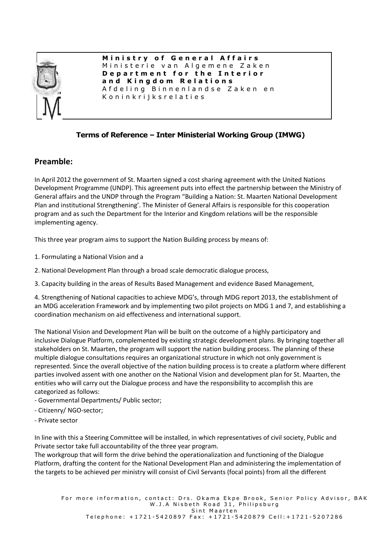

**M i n i s t r y o f G e n e r a l A f f a i r s** Ministerie van Algemene Zaken **D e p a r t m e n t f o r t h e I n t e r i o r a n d K i n g d o m R e l a t i o n s** A f d e l i n q B i n n e n l a n d s e Z a k e n e n K o n i n k r i j k s r e l a t i e s

## **Terms of Reference – Inter Ministerial Working Group (IMWG)**

## **Preamble:**

In April 2012 the government of St. Maarten signed a cost sharing agreement with the United Nations Development Programme (UNDP). This agreement puts into effect the partnership between the Ministry of General affairs and the UNDP through the Program "Building a Nation: St. Maarten National Development Plan and institutional Strengthening'. The Minister of General Affairs is responsible for this cooperation program and as such the Department for the Interior and Kingdom relations will be the responsible implementing agency.

This three year program aims to support the Nation Building process by means of:

1. Formulating a National Vision and a

- 2. National Development Plan through a broad scale democratic dialogue process,
- 3. Capacity building in the areas of Results Based Management and evidence Based Management,

4. Strengthening of National capacities to achieve MDG's, through MDG report 2013, the establishment of an MDG acceleration Framework and by implementing two pilot projects on MDG 1 and 7, and establishing a coordination mechanism on aid effectiveness and international support.

The National Vision and Development Plan will be built on the outcome of a highly participatory and inclusive Dialogue Platform, complemented by existing strategic development plans. By bringing together all stakeholders on St. Maarten, the program will support the nation building process. The planning of these multiple dialogue consultations requires an organizational structure in which not only government is represented. Since the overall objective of the nation building process is to create a platform where different parties involved assent with one another on the National Vision and development plan for St. Maarten, the entities who will carry out the Dialogue process and have the responsibility to accomplish this are categorized as follows:

- Governmental Departments/ Public sector;
- Citizenry/ NGO-sector;
- Private sector

In line with this a Steering Committee will be installed, in which representatives of civil society, Public and Private sector take full accountability of the three year program.

The workgroup that will form the drive behind the operationalization and functioning of the Dialogue Platform, drafting the content for the National Development Plan and administering the implementation of the targets to be achieved per ministry will consist of Civil Servants (focal points) from all the different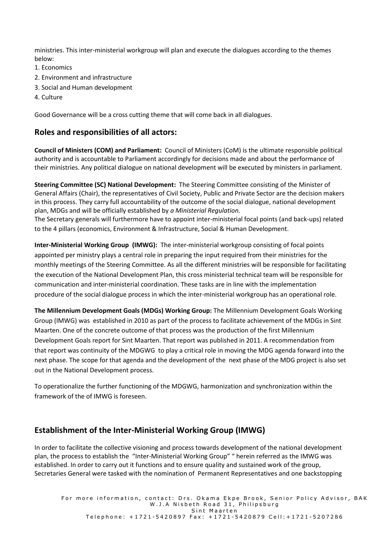ministries. This inter-ministerial workgroup will plan and execute the dialogues according to the themes below:

- 1. Economics
- 2. Environment and infrastructure
- 3. Social and Human development
- 4. Culture

Good Governance will be a cross cutting theme that will come back in all dialogues.

### **Roles and responsibilities of all actors:**

**Council of Ministers (COM) and Parliament:** Council of Ministers (CoM) is the ultimate responsible political authority and is accountable to Parliament accordingly for decisions made and about the performance of their ministries. Any political dialogue on national development will be executed by ministers in parliament.

**Steering Committee (SC) National Development:** The Steering Committee consisting of the Minister of General Affairs (Chair), the representatives of Civil Society, Public and Private Sector are the decision makers in this process. They carry full accountability of the outcome of the social dialogue, national development plan, MDGs and will be officially established by *a Ministerial Regulation.* 

The Secretary generals will furthermore have to appoint inter-ministerial focal points (and back-ups) related to the 4 pillars (economics, Environment & Infrastructure, Social & Human Development.

**Inter-Ministerial Working Group (IMWG):** The inter-ministerial workgroup consisting of focal points appointed per ministry plays a central role in preparing the input required from their ministries for the monthly meetings of the Steering Committee. As all the different ministries will be responsible for facilitating the execution of the National Development Plan, this cross ministerial technical team will be responsible for communication and inter-ministerial coordination. These tasks are in line with the implementation procedure of the social dialogue process in which the inter-ministerial workgroup has an operational role.

**The Millennium Development Goals (MDGs) Working Group:** The Millennium Development Goals Working Group (IMWG) was established in 2010 as part of the process to facilitate achievement of the MDGs in Sint Maarten. One of the concrete outcome of that process was the production of the first Millennium Development Goals report for Sint Maarten. That report was published in 2011. A recommendation from that report was continuity of the MDGWG to play a critical role in moving the MDG agenda forward into the next phase. The scope for that agenda and the development of the next phase of the MDG project is also set out in the National Development process.

To operationalize the further functioning of the MDGWG, harmonization and synchronization within the framework of the of IMWG is foreseen.

## **Establishment of the Inter-Ministerial Working Group (IMWG)**

In order to facilitate the collective visioning and process towards development of the national development plan, the process to establish the "Inter-Ministerial Working Group" " herein referred as the IMWG was established. In order to carry out it functions and to ensure quality and sustained work of the group, Secretaries General were tasked with the nomination of Permanent Representatives and one backstopping

For more information, contact: Drs. Okama Ekpe Brook, Senior Policy Advisor, BAK W.J.A Nisbeth Road 31, Philipsburg Sint Maarten Telephone: +1721-5420897 Fax: +1721-5420879 Cell:+1721-5207286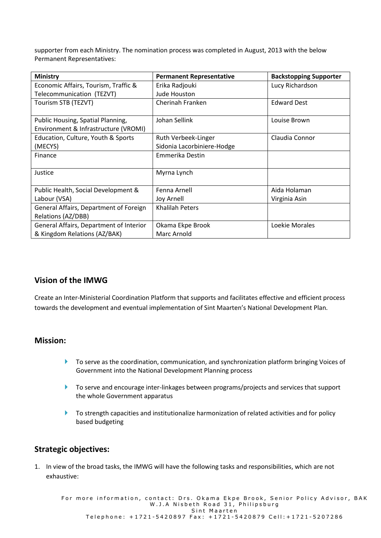supporter from each Ministry. The nomination process was completed in August, 2013 with the below Permanent Representatives:

| <b>Ministry</b>                                                           | <b>Permanent Representative</b> | <b>Backstopping Supporter</b> |
|---------------------------------------------------------------------------|---------------------------------|-------------------------------|
| Economic Affairs, Tourism, Traffic &                                      | Erika Radjouki                  | Lucy Richardson               |
| Telecommunication (TEZVT)                                                 | Jude Houston                    |                               |
| Tourism STB (TEZVT)                                                       | Cherinah Franken                | <b>Edward Dest</b>            |
| Public Housing, Spatial Planning,<br>Environment & Infrastructure (VROMI) | Johan Sellink                   | Louise Brown                  |
| Education, Culture, Youth & Sports                                        | Ruth Verbeek-Linger             | Claudia Connor                |
| (MECYS)                                                                   | Sidonia Lacorbiniere-Hodge      |                               |
| Finance                                                                   | Emmerika Destin                 |                               |
| Justice                                                                   | Myrna Lynch                     |                               |
| Public Health, Social Development &                                       | Fenna Arnell                    | Aida Holaman                  |
| Labour (VSA)                                                              | Joy Arnell                      | Virginia Asin                 |
| General Affairs, Department of Foreign                                    | Khalilah Peters                 |                               |
| Relations (AZ/DBB)                                                        |                                 |                               |
| General Affairs, Department of Interior                                   | Okama Ekpe Brook                | Loekie Morales                |
| & Kingdom Relations (AZ/BAK)                                              | Marc Arnold                     |                               |

## **Vision of the IMWG**

Create an Inter-Ministerial Coordination Platform that supports and facilitates effective and efficient process towards the development and eventual implementation of Sint Maarten's National Development Plan.

### **Mission:**

- ▶ To serve as the coordination, communication, and synchronization platform bringing Voices of Government into the National Development Planning process
- To serve and encourage inter-linkages between programs/projects and services that support the whole Government apparatus
- **To strength capacities and institutionalize harmonization of related activities and for policy** based budgeting

#### **Strategic objectives:**

1. In view of the broad tasks, the IMWG will have the following tasks and responsibilities, which are not exhaustive:

For more information, contact: Drs. Okama Ekpe Brook, Senior Policy Advisor, BAK W.J.A Nisbeth Road 31, Philipsburg Sint Maarten Telephone: +1721-5420897 Fax: +1721-5420879 Cell:+1721-5207286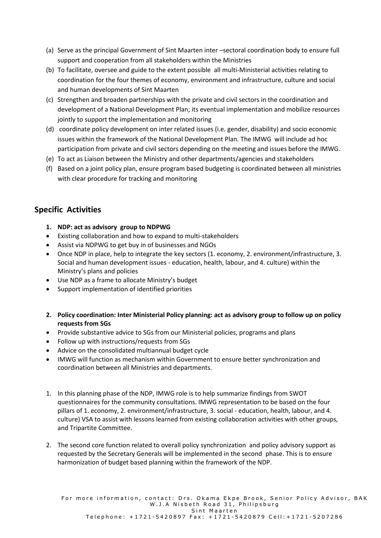- (a) Serve as the principal Government of Sint Maarten inter –sectoral coordination body to ensure full support and cooperation from all stakeholders within the Ministries
- (b) To facilitate, oversee and guide to the extent possible all multi-Ministerial activities relating to coordination for the four themes of economy, environment and infrastructure, culture and social and human developments of Sint Maarten
- (c) Strengthen and broaden partnerships with the private and civil sectors in the coordination and development of a National Development Plan; its eventual implementation and mobilize resources jointly to support the implementation and monitoring
- (d) coordinate policy development on inter related issues (i.e. gender, disability) and socio economic issues within the framework of the National Development Plan. The IMWG will include ad hoc participation from private and civil sectors depending on the meeting and issues before the IMWG.
- (e) To act as Liaison between the Ministry and other departments/agencies and stakeholders
- (f) Based on a joint policy plan, ensure program based budgeting is coordinated between all ministries with clear procedure for tracking and monitoring

# **Specific Activities**

- **1. NDP: act as advisory group to NDPWG**
- Existing collaboration and how to expand to multi-stakeholders
- Assist via NDPWG to get buy in of businesses and NGOs
- Once NDP in place, help to integrate the key sectors (1. economy, 2. environment/infrastructure, 3. Social and human development issues - education, health, labour, and 4. culture) within the Ministry's plans and policies
- Use NDP as a frame to allocate Ministry's budget
- Support implementation of identified priorities
- **2. Policy coordination: Inter Ministerial Policy planning: act as advisory group to follow up on policy requests from SGs**
- Provide substantive advice to SGs from our Ministerial policies, programs and plans
- Follow up with instructions/requests from SGs
- Advice on the consolidated multiannual budget cycle
- IMWG will function as mechanism within Government to ensure better synchronization and coordination between all Ministries and departments.
- 1. In this planning phase of the NDP, IMWG role is to help summarize findings from SWOT questionnaires for the community consultations. IMWG representation to be based on the four pillars of 1. economy, 2. environment/infrastructure, 3. social - education, health, labour, and 4. culture) VSA to assist with lessons learned from existing collaboration activities with other groups, and Tripartite Committee.
- 2. The second core function related to overall policy synchronization and policy advisory support as requested by the Secretary Generals will be implemented in the second phase. This is to ensure harmonization of budget based planning within the framework of the NDP.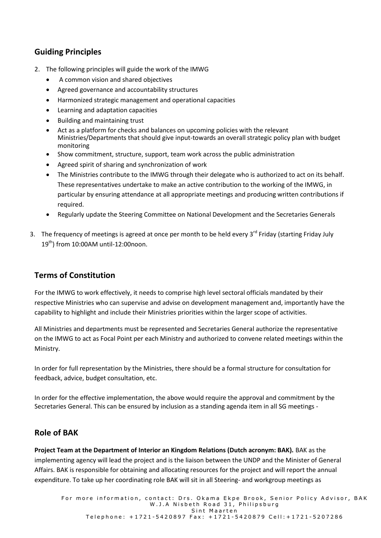# **Guiding Principles**

- 2. The following principles will guide the work of the IMWG
	- A common vision and shared objectives
	- Agreed governance and accountability structures
	- Harmonized strategic management and operational capacities
	- Learning and adaptation capacities
	- Building and maintaining trust
	- Act as a platform for checks and balances on upcoming policies with the relevant Ministries/Departments that should give input-towards an overall strategic policy plan with budget monitoring
	- Show commitment, structure, support, team work across the public administration
	- Agreed spirit of sharing and synchronization of work
	- The Ministries contribute to the IMWG through their delegate who is authorized to act on its behalf. These representatives undertake to make an active contribution to the working of the IMWG, in particular by ensuring attendance at all appropriate meetings and producing written contributions if required.
	- Regularly update the Steering Committee on National Development and the Secretaries Generals
- 3. The frequency of meetings is agreed at once per month to be held every 3<sup>rd</sup> Friday (starting Friday July  $19<sup>th</sup>$ ) from 10:00AM until-12:00noon.

## **Terms of Constitution**

For the IMWG to work effectively, it needs to comprise high level sectoral officials mandated by their respective Ministries who can supervise and advise on development management and, importantly have the capability to highlight and include their Ministries priorities within the larger scope of activities.

All Ministries and departments must be represented and Secretaries General authorize the representative on the IMWG to act as Focal Point per each Ministry and authorized to convene related meetings within the Ministry.

In order for full representation by the Ministries, there should be a formal structure for consultation for feedback, advice, budget consultation, etc.

In order for the effective implementation, the above would require the approval and commitment by the Secretaries General. This can be ensured by inclusion as a standing agenda item in all SG meetings -

## **Role of BAK**

**Project Team at the Department of Interior an Kingdom Relations (Dutch acronym: BAK).** BAK as the implementing agency will lead the project and is the liaison between the UNDP and the Minister of General Affairs. BAK is responsible for obtaining and allocating resources for the project and will report the annual expenditure. To take up her coordinating role BAK will sit in all Steering- and workgroup meetings as